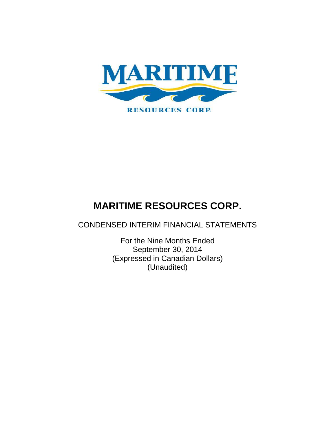

CONDENSED INTERIM FINANCIAL STATEMENTS

For the Nine Months Ended September 30, 2014 (Expressed in Canadian Dollars) (Unaudited)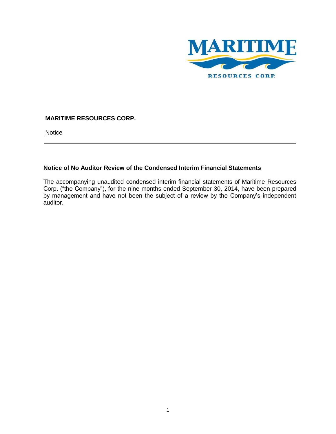

**Notice** 

## **Notice of No Auditor Review of the Condensed Interim Financial Statements**

The accompanying unaudited condensed interim financial statements of Maritime Resources Corp. ("the Company"), for the nine months ended September 30, 2014, have been prepared by management and have not been the subject of a review by the Company's independent auditor.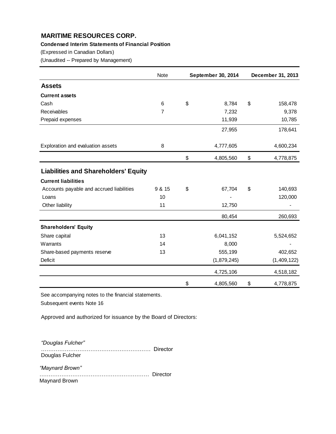## **Condensed Interim Statements of Financial Position**

(Expressed in Canadian Dollars)

(Unaudited -- Prepared by Management)

|                                             | Note            | September 30, 2014 | December 31, 2013 |
|---------------------------------------------|-----------------|--------------------|-------------------|
| <b>Assets</b>                               |                 |                    |                   |
| <b>Current assets</b>                       |                 |                    |                   |
| Cash                                        | $6\phantom{1}6$ | \$<br>8,784        | \$<br>158,478     |
| Receivables                                 | 7               | 7,232              | 9,378             |
| Prepaid expenses                            |                 | 11,939             | 10,785            |
|                                             |                 | 27,955             | 178,641           |
| Exploration and evaluation assets           | 8               | 4,777,605          | 4,600,234         |
|                                             |                 | \$<br>4,805,560    | \$<br>4,778,875   |
| <b>Liabilities and Shareholders' Equity</b> |                 |                    |                   |
| <b>Current liabilities</b>                  |                 |                    |                   |
| Accounts payable and accrued liabilities    | 9 & 15          | \$<br>67,704       | \$<br>140,693     |
| Loans                                       | 10              |                    | 120,000           |
| Other liability                             | 11              | 12,750             |                   |
|                                             |                 | 80,454             | 260,693           |
| <b>Shareholders' Equity</b>                 |                 |                    |                   |
| Share capital                               | 13              | 6,041,152          | 5,524,652         |
| Warrants                                    | 14              | 8,000              |                   |
| Share-based payments reserve                | 13              | 555,199            | 402,652           |
| <b>Deficit</b>                              |                 | (1,879,245)        | (1,409,122)       |
|                                             |                 | 4,725,106          | 4,518,182         |
|                                             |                 | \$<br>4,805,560    | \$<br>4,778,875   |

See accompanying notes to the financial statements.

Subsequent events Note 16

Approved and authorized for issuance by the Board of Directors:

*"Douglas Fulcher"* …………………………………………………… Director Douglas Fulcher

*"Maynard Brown"* …………………………………………………… Director

Maynard Brown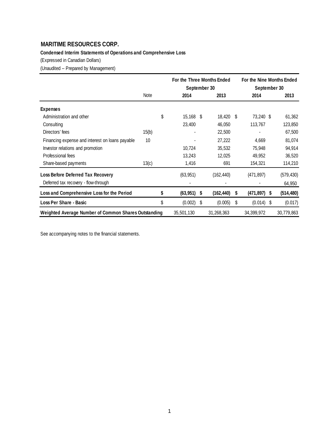**Condensed Interim Statements of Operations and Comprehensive Loss**

(Expressed in Canadian Dollars)

(Unaudited -- Prepared by Management)

|                                                      |       | September 30    |    | For the Three Months Ended |   | For the Nine Months Ended<br>September 30 |      |            |
|------------------------------------------------------|-------|-----------------|----|----------------------------|---|-------------------------------------------|------|------------|
|                                                      | Note  | 2014            |    | 2013                       |   | 2014                                      |      | 2013       |
| <b>Expenses</b>                                      |       |                 |    |                            |   |                                           |      |            |
| Administration and other                             |       | \$<br>15,168 \$ |    | 18,420 \$                  |   | 73,240 \$                                 |      | 61,362     |
| Consulting                                           |       | 23,400          |    | 46,050                     |   | 113,767                                   |      | 123,850    |
| Directors' fees                                      | 15(b) |                 |    | 22,500                     |   |                                           |      | 67,500     |
| Financing expense and interest on loans payable      | 10    |                 |    | 27,222                     |   | 4,669                                     |      | 81,074     |
| Investor relations and promotion                     |       | 10,724          |    | 35,532                     |   | 75,948                                    |      | 94,914     |
| Professional fees                                    |       | 13,243          |    | 12,025                     |   | 49,952                                    |      | 36,520     |
| Share-based payments                                 | 13(c) | 1,416           |    | 691                        |   | 154,321                                   |      | 114,210    |
| Loss Before Deferred Tax Recovery                    |       | (63, 951)       |    | (162, 440)                 |   | (471, 897)                                |      | (579, 430) |
| Deferred tax recovery - flow-through                 |       |                 |    |                            |   |                                           |      | 64,950     |
| Loss and Comprehensive Loss for the Period           |       | \$<br>(63,951)  | -S | (162, 440)                 | S | (471,897)                                 | S    | (514, 480) |
| Loss Per Share - Basic                               |       | \$<br>(0.002)   | S  | (0.005)                    | S | (0.014)                                   | - \$ | (0.017)    |
| Weighted Average Number of Common Shares Outstanding |       | 35,501,130      |    | 31,268,363                 |   | 34,399,972                                |      | 30,779,863 |

See accompanying notes to the financial statements.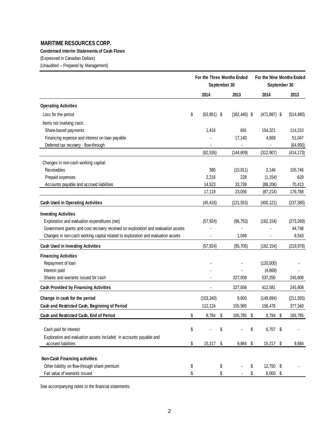## **Condensed Interim Statements of Cash Flows**

(Expressed in Canadian Dollars)

(Unaudited -- Prepared by Management)

|                                                                                   | For the Three Months Ended<br>September 30 |    |                 |      | For the Nine Months Ended<br>September 30 |   |            |
|-----------------------------------------------------------------------------------|--------------------------------------------|----|-----------------|------|-------------------------------------------|---|------------|
|                                                                                   | 2014                                       |    | 2013            |      | 2014                                      |   | 2013       |
| <b>Operating Activities</b>                                                       |                                            |    |                 |      |                                           |   |            |
| Loss for the period                                                               | \$<br>$(63,951)$ \$                        |    | $(162, 440)$ \$ |      | $(471, 897)$ \$                           |   | (514, 480) |
| Items not involving cash:                                                         |                                            |    |                 |      |                                           |   |            |
| Share-based payments                                                              | 1,416                                      |    | 691             |      | 154,321                                   |   | 114,210    |
| Financing expense and interest on loan payable                                    |                                            |    | 17,140          |      | 4,669                                     |   | 51,047     |
| Deferred tax recovery - flow-through                                              |                                            |    |                 |      |                                           |   | (64, 950)  |
|                                                                                   | (62, 535)                                  |    | (144, 609)      |      | (312, 907)                                |   | (414, 173) |
| Changes in non-cash working capital:                                              |                                            |    |                 |      |                                           |   |            |
| Receivables                                                                       | 380                                        |    | (10, 911)       |      | 2,146                                     |   | 105,746    |
| Prepaid expenses                                                                  | 2,216                                      |    | 228             |      | (1, 154)                                  |   | 629        |
| Accounts payable and accrued liabilities                                          | 14,523                                     |    | 33,739          |      | (88, 206)                                 |   | 70,413     |
|                                                                                   | 17,119                                     |    | 23,056          |      | (87, 214)                                 |   | 176,788    |
| <b>Cash Used in Operating Activities</b>                                          | (45, 416)                                  |    | (121, 553)      |      | (400, 121)                                |   | (237, 385) |
| <b>Investing Activities</b>                                                       |                                            |    |                 |      |                                           |   |            |
| Exploration and evaluation expenditures (net)                                     | (57, 924)                                  |    | (96, 753)       |      | (162, 154)                                |   | (273, 269) |
| Government grants and cost recovery received on exploration and evaluation assets |                                            |    |                 |      |                                           |   | 44,748     |
| Changes in non-cash working capital related to exploration and evaluation assets  |                                            |    | 1,048           |      |                                           |   | 8,543      |
| Cash Used in Investing Activities                                                 | (57, 924)                                  |    | (95, 705)       |      | (162, 154)                                |   | (219, 978) |
| <b>Financing Activities</b>                                                       |                                            |    |                 |      |                                           |   |            |
| Repayment of loan                                                                 |                                            |    |                 |      | (120,000)                                 |   |            |
| Interest paid                                                                     |                                            |    |                 |      | (4,669)                                   |   |            |
| Shares and warrants issued for cash                                               |                                            |    | 227,058         |      | 537,250                                   |   | 245,808    |
| <b>Cash Provided by Financing Activities</b>                                      |                                            |    | 227,058         |      | 412,581                                   |   | 245,808    |
| Change in cash for the period                                                     | (103, 340)                                 |    | 9,800           |      | (149, 694)                                |   | (211, 555) |
| Cash and Restricted Cash, Beginning of Period                                     | 112,124                                    |    | 155,985         |      | 158,478                                   |   | 377,340    |
| Cash and Restricted Cash, End of Period                                           | \$<br>8,784                                | \$ | 165,785         | - \$ | 8,784                                     | S | 165,785    |
| Cash paid for interest                                                            | \$                                         | \$ |                 | \$   | 6,707 \$                                  |   |            |
| Exploration and evaluation assets included in accounts payable and                |                                            |    |                 |      |                                           |   |            |
| accrued liabilities                                                               | \$<br>15,217                               | \$ | 9,884 \$        |      | 15,217 \$                                 |   | 9,884      |
| Non-Cash Financing activities:                                                    |                                            |    |                 |      |                                           |   |            |
| Other liability on flow-through share premium                                     | \$                                         | \$ |                 | \$   | 12,750 \$                                 |   |            |
| Fair value of warrants issued                                                     | \$                                         | \$ |                 | \$   | 8,000 \$                                  |   |            |

See accompanying notes to the financial statements.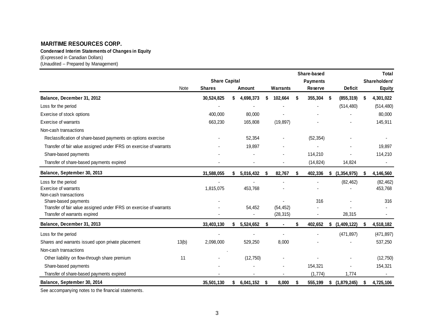**Condensed Interim Statements of Changes in Equity**

(Expressed in Canadian Dollars)

(Unaudited -- Prepared by Management)

|                                                                                                    |       |                                       |           |    |                        |    | Share-based                |    |                |   | Total                          |
|----------------------------------------------------------------------------------------------------|-------|---------------------------------------|-----------|----|------------------------|----|----------------------------|----|----------------|---|--------------------------------|
|                                                                                                    | Note  | <b>Share Capital</b><br><b>Shares</b> | Amount    |    | Warrants               |    | <b>Payments</b><br>Reserve |    | <b>Deficit</b> |   | Shareholders'<br><b>Equity</b> |
| Balance, December 31, 2012                                                                         |       | 30,524,825                            | 4,698,373 |    | 102,664                | S  | 355,304                    | \$ | (855, 319)     | S | 4,301,022                      |
| Loss for the period                                                                                |       |                                       |           |    |                        |    |                            |    | (514, 480)     |   | (514, 480)                     |
| Exercise of stock options                                                                          |       | 400.000                               | 80,000    |    |                        |    |                            |    |                |   | 80,000                         |
| Exercise of warrants                                                                               |       | 663,230                               | 165,808   |    | (19, 897)              |    |                            |    |                |   | 145,911                        |
| Non-cash transactions                                                                              |       |                                       |           |    |                        |    |                            |    |                |   |                                |
| Reclassification of share-based payments on options exercise                                       |       |                                       | 52,354    |    |                        |    | (52, 354)                  |    |                |   |                                |
| Transfer of fair value assigned under IFRS on exercise of warrants                                 |       |                                       | 19,897    |    |                        |    |                            |    |                |   | 19,897                         |
| Share-based payments                                                                               |       |                                       |           |    |                        |    | 114,210                    |    |                |   | 114,210                        |
| Transfer of share-based payments expired                                                           |       |                                       |           |    |                        |    | (14, 824)                  |    | 14,824         |   |                                |
| Balance, September 30, 2013                                                                        |       | 31,588,055                            | 5,016,432 |    | 82,767                 | S  | 402,336                    | \$ | (1, 354, 975)  | S | 4,146,560                      |
| Loss for the period                                                                                |       |                                       |           |    |                        |    |                            |    | (82, 462)      |   | (82, 462)                      |
| Exercise of warrants                                                                               |       | 1,815,075                             | 453,768   |    |                        |    |                            |    |                |   | 453,768                        |
| Non-cash transactions                                                                              |       |                                       |           |    |                        |    |                            |    |                |   |                                |
| Share-based payments                                                                               |       |                                       |           |    |                        |    | 316                        |    |                |   | 316                            |
| Transfer of fair value assigned under IFRS on exercise of warrants<br>Transfer of warrants expired |       |                                       | 54,452    |    | (54, 452)<br>(28, 315) |    |                            |    | 28,315         |   |                                |
|                                                                                                    |       |                                       |           |    |                        |    |                            |    |                |   |                                |
| Balance, December 31, 2013                                                                         |       | 33,403,130                            | 5,524,652 | \$ |                        | \$ | 402,652                    | S  | (1,409,122)    | S | 4,518,182                      |
| Loss for the period                                                                                |       |                                       |           |    |                        |    |                            |    | (471, 897)     |   | (471, 897)                     |
| Shares and warrants issued upon private placement                                                  | 13(b) | 2,098,000                             | 529,250   |    | 8,000                  |    |                            |    |                |   | 537,250                        |
| Non-cash transactions                                                                              |       |                                       |           |    |                        |    |                            |    |                |   |                                |
| Other liability on flow-through share premium                                                      | 11    |                                       | (12, 750) |    |                        |    |                            |    |                |   | (12, 750)                      |
| Share-based payments                                                                               |       |                                       |           |    |                        |    | 154,321                    |    |                |   | 154,321                        |
| Transfer of share-based payments expired                                                           |       |                                       |           |    |                        |    | (1,774)                    |    | 1,774          |   |                                |
| Balance, September 30, 2014                                                                        |       | 35,501,130                            | 6,041,152 | S. | 8,000                  | S  | 555,199                    | \$ | (1,879,245)    | S | 4,725,106                      |

See accompanying notes to the financial statements.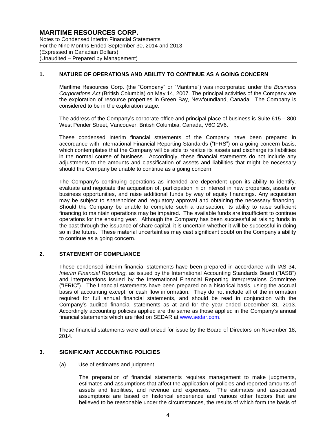Notes to Condensed Interim Financial Statements For the Nine Months Ended September 30, 2014 and 2013 (Expressed in Canadian Dollars) (Unaudited – Prepared by Management)

## **1. NATURE OF OPERATIONS AND ABILITY TO CONTINUE AS A GOING CONCERN**

Maritime Resources Corp. (the "Company" or "Maritime") was incorporated under the *Business Corporations Act* (British Columbia) on May 14, 2007. The principal activities of the Company are the exploration of resource properties in Green Bay, Newfoundland, Canada. The Company is considered to be in the exploration stage.

The address of the Company's corporate office and principal place of business is Suite 615 – 800 West Pender Street, Vancouver, British Columbia, Canada, V6C 2V6.

These condensed interim financial statements of the Company have been prepared in accordance with International Financial Reporting Standards ("IFRS") on a going concern basis, which contemplates that the Company will be able to realize its assets and discharge its liabilities in the normal course of business. Accordingly, these financial statements do not include any adjustments to the amounts and classification of assets and liabilities that might be necessary should the Company be unable to continue as a going concern.

The Company's continuing operations as intended are dependent upon its ability to identify, evaluate and negotiate the acquisition of, participation in or interest in new properties, assets or business opportunities, and raise additional funds by way of equity financings. Any acquisition may be subject to shareholder and regulatory approval and obtaining the necessary financing. Should the Company be unable to complete such a transaction, its ability to raise sufficient financing to maintain operations may be impaired. The available funds are insufficient to continue operations for the ensuing year. Although the Company has been successful at raising funds in the past through the issuance of share capital, it is uncertain whether it will be successful in doing so in the future. These material uncertainties may cast significant doubt on the Company's ability to continue as a going concern.

## **2. STATEMENT OF COMPLIANCE**

These condensed interim financial statements have been prepared in accordance with IAS 34, *Interim Financial Reporting,* as issued by the International Accounting Standards Board ("IASB") and interpretations issued by the International Financial Reporting Interpretations Committee ("IFRIC"). The financial statements have been prepared on a historical basis, using the accrual basis of accounting except for cash flow information. They do not include all of the information required for full annual financial statements, and should be read in conjunction with the Company's audited financial statements as at and for the year ended December 31, 2013. Accordingly accounting policies applied are the same as those applied in the Company's annual financial statements which are filed on SEDAR at www.sedar.com.

These financial statements were authorized for issue by the Board of Directors on November 18, 2014.

#### **3. SIGNIFICANT ACCOUNTING POLICIES**

(a) Use of estimates and judgment

The preparation of financial statements requires management to make judgments, estimates and assumptions that affect the application of policies and reported amounts of assets and liabilities, and revenue and expenses. The estimates and associated assumptions are based on historical experience and various other factors that are believed to be reasonable under the circumstances, the results of which form the basis of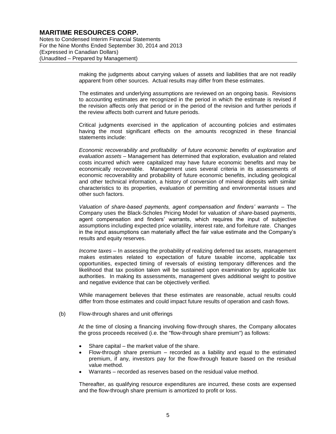Notes to Condensed Interim Financial Statements For the Nine Months Ended September 30, 2014 and 2013 (Expressed in Canadian Dollars) (Unaudited – Prepared by Management)

> making the judgments about carrying values of assets and liabilities that are not readily apparent from other sources. Actual results may differ from these estimates.

> The estimates and underlying assumptions are reviewed on an ongoing basis. Revisions to accounting estimates are recognized in the period in which the estimate is revised if the revision affects only that period or in the period of the revision and further periods if the review affects both current and future periods.

> Critical judgments exercised in the application of accounting policies and estimates having the most significant effects on the amounts recognized in these financial statements include:

> *Economic recoverability and profitability of future economic benefits of exploration and evaluation assets* – Management has determined that exploration, evaluation and related costs incurred which were capitalized may have future economic benefits and may be economically recoverable. Management uses several criteria in its assessments of economic recoverability and probability of future economic benefits, including geological and other technical information, a history of conversion of mineral deposits with similar characteristics to its properties, evaluation of permitting and environmental issues and other such factors.

> *Valuation of share-based payments, agent compensation and finders' warrants* – The Company uses the Black-Scholes Pricing Model for valuation of *share*-based payments, agent compensation and finders' warrants, which requires the input of subjective assumptions including expected price volatility, interest rate, and forfeiture rate. Changes in the input assumptions can materially affect the fair value estimate and the Company's results and equity reserves.

> *Income taxes* – In assessing the probability of realizing deferred tax assets, management makes estimates related to expectation of future taxable income, applicable tax opportunities, expected timing of reversals of existing temporary differences and the likelihood that tax position taken will be sustained upon examination by applicable tax authorities. In making its assessments, management gives additional weight to positive and negative evidence that can be objectively verified.

> While management believes that these estimates are reasonable, actual results could differ from those estimates and could impact future results of operation and cash flows.

#### (b) Flow-through shares and unit offerings

At the time of closing a financing involving flow-through shares, the Company allocates the gross proceeds received (i.e. the "flow-through share premium") as follows:

- Share capital the market value of the share.
- Flow-through share premium recorded as a liability and equal to the estimated premium, if any, investors pay for the flow-through feature based on the residual value method.
- Warrants recorded as reserves based on the residual value method.

Thereafter, as qualifying resource expenditures are incurred, these costs are expensed and the flow-through share premium is amortized to profit or loss.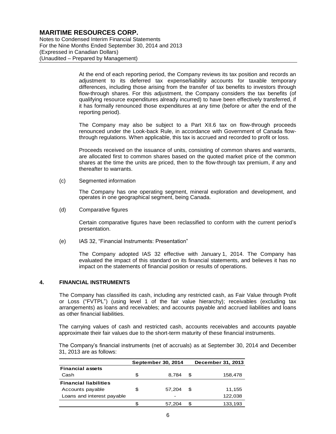Notes to Condensed Interim Financial Statements For the Nine Months Ended September 30, 2014 and 2013 (Expressed in Canadian Dollars) (Unaudited – Prepared by Management)

> At the end of each reporting period, the Company reviews its tax position and records an adjustment to its deferred tax expense/liability accounts for taxable temporary differences, including those arising from the transfer of tax benefits to investors through flow-through shares. For this adjustment, the Company considers the tax benefits (of qualifying resource expenditures already incurred) to have been effectively transferred, if it has formally renounced those expenditures at any time (before or after the end of the reporting period).

> The Company may also be subject to a Part XII.6 tax on flow-through proceeds renounced under the Look-back Rule, in accordance with Government of Canada flowthrough regulations. When applicable, this tax is accrued and recorded to profit or loss.

> Proceeds received on the issuance of units, consisting of common shares and warrants, are allocated first to common shares based on the quoted market price of the common shares at the time the units are priced, then to the flow-through tax premium, if any and thereafter to warrants.

(c) Segmented information

The Company has one operating segment, mineral exploration and development, and operates in one geographical segment, being Canada.

(d) Comparative figures

Certain comparative figures have been reclassified to conform with the current period's presentation.

(e) IAS 32, "Financial Instruments: Presentation"

The Company adopted IAS 32 effective with January 1, 2014. The Company has evaluated the impact of this standard on its financial statements, and believes it has no impact on the statements of financial position or results of operations.

#### **4. FINANCIAL INSTRUMENTS**

The Company has classified its cash, including any restricted cash, as Fair Value through Profit or Loss ("FVTPL") (using level 1 of the fair value hierarchy); receivables (excluding tax arrangements) as loans and receivables; and accounts payable and accrued liabilities and loans as other financial liabilities.

The carrying values of cash and restricted cash, accounts receivables and accounts payable approximate their fair values due to the short-term maturity of these financial instruments.

The Company's financial instruments (net of accruals) as at September 30, 2014 and December 31, 2013 are as follows:

|                              |   | <b>September 30, 2014</b> |   | December 31, 2013 |
|------------------------------|---|---------------------------|---|-------------------|
| <b>Financial assets</b>      |   |                           |   |                   |
| Cash                         | S | 8.784                     | S | 158,478           |
| <b>Financial liabilities</b> |   |                           |   |                   |
| Accounts payable             | S | 57.204                    | S | 11,155            |
| Loans and interest payable   |   | -                         |   | 122,038           |
|                              |   | 57.204                    | S | 133.193           |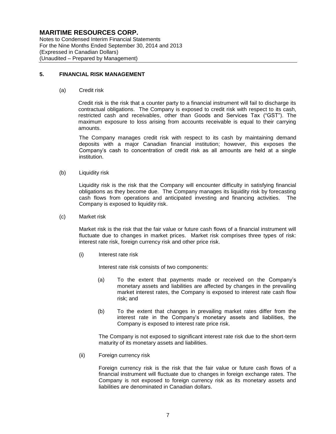Notes to Condensed Interim Financial Statements For the Nine Months Ended September 30, 2014 and 2013 (Expressed in Canadian Dollars) (Unaudited – Prepared by Management)

#### **5. FINANCIAL RISK MANAGEMENT**

(a) Credit risk

Credit risk is the risk that a counter party to a financial instrument will fail to discharge its contractual obligations. The Company is exposed to credit risk with respect to its cash, restricted cash and receivables, other than Goods and Services Tax ("GST"). The maximum exposure to loss arising from accounts receivable is equal to their carrying amounts.

The Company manages credit risk with respect to its cash by maintaining demand deposits with a major Canadian financial institution; however, this exposes the Company's cash to concentration of credit risk as all amounts are held at a single institution.

(b) Liquidity risk

Liquidity risk is the risk that the Company will encounter difficulty in satisfying financial obligations as they become due. The Company manages its liquidity risk by forecasting cash flows from operations and anticipated investing and financing activities. The Company is exposed to liquidity risk.

(c) Market risk

Market risk is the risk that the fair value or future cash flows of a financial instrument will fluctuate due to changes in market prices. Market risk comprises three types of risk: interest rate risk, foreign currency risk and other price risk.

(i) Interest rate risk

Interest rate risk consists of two components:

- (a) To the extent that payments made or received on the Company's monetary assets and liabilities are affected by changes in the prevailing market interest rates, the Company is exposed to interest rate cash flow risk; and
- (b) To the extent that changes in prevailing market rates differ from the interest rate in the Company's monetary assets and liabilities, the Company is exposed to interest rate price risk.

The Company is not exposed to significant interest rate risk due to the short-term maturity of its monetary assets and liabilities.

(ii) Foreign currency risk

Foreign currency risk is the risk that the fair value or future cash flows of a financial instrument will fluctuate due to changes in foreign exchange rates. The Company is not exposed to foreign currency risk as its monetary assets and liabilities are denominated in Canadian dollars.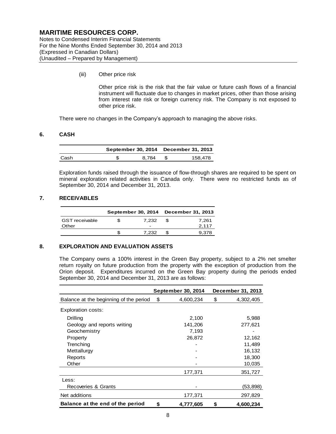Notes to Condensed Interim Financial Statements For the Nine Months Ended September 30, 2014 and 2013 (Expressed in Canadian Dollars) (Unaudited – Prepared by Management)

(iii) Other price risk

Other price risk is the risk that the fair value or future cash flows of a financial instrument will fluctuate due to changes in market prices, other than those arising from interest rate risk or foreign currency risk. The Company is not exposed to other price risk.

There were no changes in the Company's approach to managing the above risks.

## **6. CASH**

|      |       | September 30, 2014 December 31, 2013 |
|------|-------|--------------------------------------|
| Cash | 8.784 | 158.478                              |

Exploration funds raised through the issuance of flow-through shares are required to be spent on mineral exploration related activities in Canada only. There were no restricted funds as of September 30, 2014 and December 31, 2013.

## **7. RECEIVABLES**

|                                |            |     | September 30, 2014 December 31, 2013 |
|--------------------------------|------------|-----|--------------------------------------|
| <b>GST</b> receivable<br>Other | 7.232<br>- | -96 | 7.261<br>2.117                       |
|                                | 7.232      |     | 9.378                                |

#### **8. EXPLORATION AND EVALUATION ASSETS**

The Company owns a 100% interest in the Green Bay property, subject to a 2% net smelter return royalty on future production from the property with the exception of production from the Orion deposit. Expenditures incurred on the Green Bay property during the periods ended September 30, 2014 and December 31, 2013 are as follows:

|                                        | September 30, 2014 | December 31, 2013 |
|----------------------------------------|--------------------|-------------------|
| Balance at the beginning of the period | \$<br>4,600,234    | \$<br>4,302,405   |
| Exploration costs:                     |                    |                   |
| Drilling                               | 2,100              | 5,988             |
| Geology and reports writing            | 141,206            | 277,621           |
| Geochemistry                           | 7,193              |                   |
| Property                               | 26,872             | 12,162            |
| Trenching                              |                    | 11,489            |
| Mettallurgy                            |                    | 16,132            |
| Reports                                |                    | 18,300            |
| Other                                  |                    | 10,035            |
|                                        | 177,371            | 351,727           |
| Less:                                  |                    |                   |
| Recoveries & Grants                    |                    | (53,898)          |
| Net additions                          | 177,371            | 297,829           |
| Balance at the end of the period       | \$<br>4,777,605    | \$<br>4,600,234   |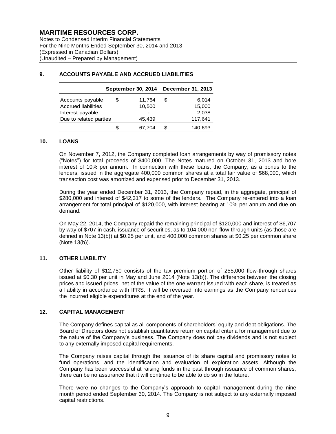Notes to Condensed Interim Financial Statements For the Nine Months Ended September 30, 2014 and 2013 (Expressed in Canadian Dollars) (Unaudited – Prepared by Management)

|                                                                                                                                                                                                                                                                                                                                                | September 30, 2014               | December 31, 2013                         |
|------------------------------------------------------------------------------------------------------------------------------------------------------------------------------------------------------------------------------------------------------------------------------------------------------------------------------------------------|----------------------------------|-------------------------------------------|
| Accounts payable<br><b>Accrued liabilities</b><br>Interest payable<br>Due to related parties                                                                                                                                                                                                                                                   | \$<br>11,764<br>10,500<br>45,439 | \$<br>6,014<br>15,000<br>2,038<br>117,641 |
|                                                                                                                                                                                                                                                                                                                                                | \$<br>67,704                     | \$<br>140,693                             |
| <b>LOANS</b>                                                                                                                                                                                                                                                                                                                                   |                                  |                                           |
| On November 7, 2012, the Company completed loan arrangeme<br>("Notes") for total proceeds of \$400,000. The Notes matured<br>interest of 10% per annum. In connection with these loans, th<br>lenders, issued in the aggregate 400,000 common shares at a t<br>transaction cost was amortized and expensed prior to December                   |                                  |                                           |
| During the year ended December 31, 2013, the Company repa<br>\$280,000 and interest of \$42,317 to some of the lenders. The<br>arrangement for total principal of \$120,000, with interest bearing<br>demand.                                                                                                                                  |                                  |                                           |
| On May 22, 2014, the Company repaid the remaining principal of<br>by way of \$707 in cash, issuance of securities, as to 104,000 nor<br>defined in Note 13(b)) at \$0.25 per unit, and 400,000 common sh<br>(Note 13(b)).                                                                                                                      |                                  |                                           |
| <b>OTHER LIABILITY</b>                                                                                                                                                                                                                                                                                                                         |                                  |                                           |
| Other liability of \$12,750 consists of the tax premium portion<br>issued at \$0.30 per unit in May and June 2014 (Note 13(b)). The<br>prices and issued prices, net of the value of the one warrant issu<br>a liability in accordance with IFRS. It will be reversed into earni<br>the incurred eligible expenditures at the end of the year. |                                  |                                           |
| <b>CAPITAL MANAGEMENT</b>                                                                                                                                                                                                                                                                                                                      |                                  |                                           |
| The Company defines capital as all components of shareholders'<br>Board of Directors does not establish quantitative return on capita<br>the nature of the Company's business. The Company does not<br>to any externally imposed capital requirements.                                                                                         |                                  |                                           |
| The Company raises capital through the issuance of its share<br>fund operations, and the identification and evaluation of ex<br>Company has been successful at raising funds in the past throu<br>there can be no assurance that it will continue to be able to do so                                                                          |                                  |                                           |
| There were no changes to the Company's approach to capital<br>month period ended September 30, 2014. The Company is not s<br>capital restrictions.                                                                                                                                                                                             |                                  |                                           |

## **9. ACCOUNTS PAYABLE AND ACCRUED LIABILITIES**

#### **10. LOANS**

On November 7, 2012, the Company completed loan arrangements by way of promissory notes ("Notes") for total proceeds of \$400,000. The Notes matured on October 31, 2013 and bore interest of 10% per annum. In connection with these loans, the Company, as a bonus to the lenders, issued in the aggregate 400,000 common shares at a total fair value of \$68,000, which transaction cost was amortized and expensed prior to December 31, 2013.

During the year ended December 31, 2013, the Company repaid, in the aggregate, principal of \$280,000 and interest of \$42,317 to some of the lenders. The Company re-entered into a loan arrangement for total principal of \$120,000, with interest bearing at 10% per annum and due on demand.

On May 22, 2014, the Company repaid the remaining principal of \$120,000 and interest of \$6,707 by way of \$707 in cash, issuance of securities, as to 104,000 non-flow-through units (as those are defined in Note 13(b)) at \$0.25 per unit, and 400,000 common shares at \$0.25 per common share (Note 13(b)).

#### **11. OTHER LIABILITY**

Other liability of \$12,750 consists of the tax premium portion of 255,000 flow-through shares issued at \$0.30 per unit in May and June 2014 (Note 13(b)). The difference between the closing prices and issued prices, net of the value of the one warrant issued with each share, is treated as a liability in accordance with IFRS. It will be reversed into earnings as the Company renounces the incurred eligible expenditures at the end of the year.

#### **12. CAPITAL MANAGEMENT**

The Company defines capital as all components of shareholders' equity and debt obligations. The Board of Directors does not establish quantitative return on capital criteria for management due to the nature of the Company's business. The Company does not pay dividends and is not subject to any externally imposed capital requirements.

The Company raises capital through the issuance of its share capital and promissory notes to fund operations, and the identification and evaluation of exploration assets. Although the Company has been successful at raising funds in the past through issuance of common shares, there can be no assurance that it will continue to be able to do so in the future.

There were no changes to the Company's approach to capital management during the nine month period ended September 30, 2014. The Company is not subject to any externally imposed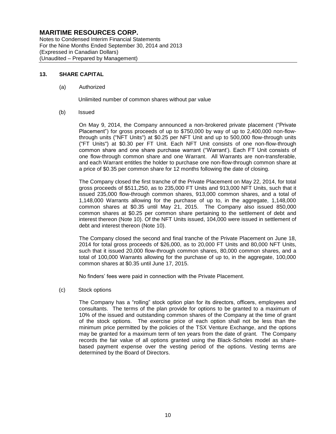Notes to Condensed Interim Financial Statements For the Nine Months Ended September 30, 2014 and 2013 (Expressed in Canadian Dollars) (Unaudited – Prepared by Management)

## **13. SHARE CAPITAL**

#### (a) Authorized

Unlimited number of common shares without par value

(b) Issued

On May 9, 2014, the Company announced a non-brokered private placement ("Private Placement") for gross proceeds of up to \$750,000 by way of up to 2,400,000 non-flowthrough units ("NFT Units") at \$0.25 per NFT Unit and up to 500,000 flow-through units ("FT Units") at \$0.30 per FT Unit. Each NFT Unit consists of one non-flow-through common share and one share purchase warrant ("Warrant'). Each FT Unit consists of one flow-through common share and one Warrant. All Warrants are non-transferable, and each Warrant entitles the holder to purchase one non-flow-through common share at a price of \$0.35 per common share for 12 months following the date of closing.

The Company closed the first tranche of the Private Placement on May 22, 2014, for total gross proceeds of \$511,250, as to 235,000 FT Units and 913,000 NFT Units, such that it issued 235,000 flow-through common shares, 913,000 common shares, and a total of 1,148,000 Warrants allowing for the purchase of up to, in the aggregate, 1,148,000 common shares at \$0.35 until May 21, 2015. The Company also issued 850,000 common shares at \$0.25 per common share pertaining to the settlement of debt and interest thereon (Note 10). Of the NFT Units issued, 104,000 were issued in settlement of debt and interest thereon (Note 10).

The Company closed the second and final tranche of the Private Placement on June 18, 2014 for total gross proceeds of \$26,000, as to 20,000 FT Units and 80,000 NFT Units, such that it issued 20,000 flow-through common shares, 80,000 common shares, and a total of 100,000 Warrants allowing for the purchase of up to, in the aggregate, 100,000 common shares at \$0.35 until June 17, 2015.

No finders' fees were paid in connection with the Private Placement.

#### (c) Stock options

The Company has a "rolling" stock option plan for its directors, officers, employees and consultants. The terms of the plan provide for options to be granted to a maximum of 10% of the issued and outstanding common shares of the Company at the time of grant of the stock options. The exercise price of each option shall not be less than the minimum price permitted by the policies of the TSX Venture Exchange, and the options may be granted for a maximum term of ten years from the date of grant. The Company records the fair value of all options granted using the Black-Scholes model as sharebased payment expense over the vesting period of the options. Vesting terms are determined by the Board of Directors.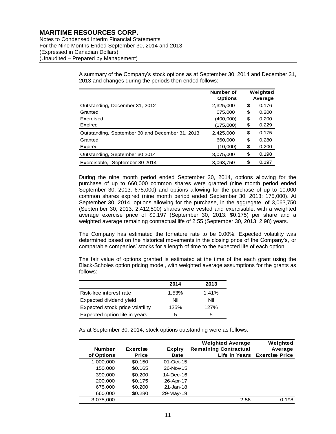Notes to Condensed Interim Financial Statements For the Nine Months Ended September 30, 2014 and 2013 (Expressed in Canadian Dollars) (Unaudited – Prepared by Management)

> A summary of the Company's stock options as at September 30, 2014 and December 31, 2013 and changes during the periods then ended follows:

|                                                 | Number of<br><b>Options</b> | Weighted<br>Average |
|-------------------------------------------------|-----------------------------|---------------------|
| Outstanding, December 31, 2012                  | 2.325.000                   | \$<br>0.176         |
| Granted                                         | 675,000                     | \$<br>0.200         |
| Exercised                                       | (400,000)                   | \$<br>0.200         |
| Expired                                         | (175,000)                   | \$<br>0.229         |
| Outstanding, September 30 and December 31, 2013 | 2.425.000                   | \$<br>0.175         |
| Granted                                         | 660,000                     | \$<br>0.280         |
| Expired                                         | (10,000)                    | \$<br>0.200         |
| Outstanding, September 30 2014                  | 3,075,000                   | \$<br>0.198         |
| Exercisable, September 30 2014                  | 3.063.750                   | \$<br>0.197         |

During the nine month period ended September 30, 2014, options allowing for the purchase of up to 660,000 common shares were granted (nine month period ended September 30, 2013: 675,000) and options allowing for the purchase of up to 10,000 common shares expired (nine month period ended September 30, 2013: 175,000). At September 30, 2014, options allowing for the purchase, in the aggregate, of 3,063,750 (September 30, 2013: 2,412,500) shares were vested and exercisable, with a weighted average exercise price of \$0.197 (September 30, 2013: \$0.175) per share and a weighted average remaining contractual life of 2.55 (September 30, 2013: 2.98) years.

The Company has estimated the forfeiture rate to be 0.00%. Expected volatility was determined based on the historical movements in the closing price of the Company's, or comparable companies' stocks for a length of time to the expected life of each option.

The fair value of options granted is estimated at the time of the each grant using the Black-Scholes option pricing model, with weighted average assumptions for the grants as follows:

|                                 | 2014  | 2013  |
|---------------------------------|-------|-------|
| Risk-free interest rate         | 1.53% | 1.41% |
| Expected dividend yield         | Nil   | Nil   |
| Expected stock price volatility | 125%  | 127%  |
| Expected option life in years   | 5     | 5     |

As at September 30, 2014, stock options outstanding were as follows:

|               |                 |               | <b>Weighted Average</b>      | Weighted                     |
|---------------|-----------------|---------------|------------------------------|------------------------------|
| <b>Number</b> | <b>Exercise</b> | <b>Expiry</b> | <b>Remaining Contractual</b> | Average                      |
| of Options    | <b>Price</b>    | <b>Date</b>   |                              | Life in Years Exercise Price |
| 1,000,000     | \$0.150         | $01-Cct-15$   |                              |                              |
| 150,000       | \$0.165         | 26-Nov-15     |                              |                              |
| 390,000       | \$0,200         | 14-Dec-16     |                              |                              |
| 200,000       | \$0.175         | 26-Apr-17     |                              |                              |
| 675,000       | \$0.200         | $21 - Jan-18$ |                              |                              |
| 660,000       | \$0.280         | 29-May-19     |                              |                              |
| 3,075,000     |                 |               | 2.56                         | 0.198                        |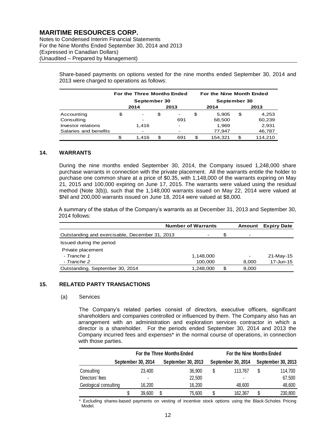Notes to Condensed Interim Financial Statements For the Nine Months Ended September 30, 2014 and 2013 (Expressed in Canadian Dollars) (Unaudited – Prepared by Management)

> Share-based payments on options vested for the nine months ended September 30, 2014 and 2013 were charged to operations as follows:

|                       |              | For the Three Months Ended |      |                          | For the Nine Month Ended |              |      |         |  |
|-----------------------|--------------|----------------------------|------|--------------------------|--------------------------|--------------|------|---------|--|
|                       | September 30 |                            |      |                          |                          | September 30 |      |         |  |
|                       |              | 2014                       | 2013 |                          |                          | 2014         | 2013 |         |  |
| Accounting            | \$           |                            | \$   | -                        | \$                       | 5,905        | \$   | 4,253   |  |
| Consulting            |              |                            |      | 691                      |                          | 68,500       |      | 60,239  |  |
| Investor relations    |              | 1.416                      |      | $\overline{\phantom{a}}$ |                          | 1,969        |      | 2,931   |  |
| Salaries and benefits |              |                            |      |                          |                          | 77,947       |      | 46,787  |  |
|                       |              | 1.416                      | S.   | 691                      |                          | 154.321      | \$   | 114.210 |  |

## **14. WARRANTS**

During the nine months ended September 30, 2014, the Company issued 1,248,000 share purchase warrants in connection with the private placement. All the warrants entitle the holder to purchase one common share at a price of \$0.35, with 1,148,000 of the warrants expiring on May 21, 2015 and 100,000 expiring on June 17, 2015. The warrants were valued using the residual method (Note 3(b)), such that the 1,148,000 warrants issued on May 22, 2014 were valued at \$Nil and 200,000 warrants issued on June 18, 2014 were valued at \$8,000.

A summary of the status of the Company's warrants as at December 31, 2013 and September 30, 2014 follows:

|                                                | <b>Number of Warrants</b> | Amount | <b>Expiry Date</b>       |           |
|------------------------------------------------|---------------------------|--------|--------------------------|-----------|
| Outstanding and exercisable, December 31, 2013 | $\overline{\phantom{a}}$  | S      | $\overline{\phantom{0}}$ |           |
| Issued during the period                       |                           |        |                          |           |
| Private placement                              |                           |        |                          |           |
| - Tranche 1                                    | 1,148,000                 |        | $\overline{\phantom{a}}$ | 21-May-15 |
| - Tranche 2                                    | 100,000                   |        | 8,000                    | 17-Jun-15 |
| Outstanding, September 30, 2014                | 1,248,000                 | \$.    | 8,000                    |           |

## **15. RELATED PARTY TRANSACTIONS**

#### (a) Services

The Company's related parties consist of directors, executive officers, significant shareholders and companies controlled or influenced by them. The Company also has an arrangement with an administration and exploration services contractor in which a director is a shareholder. For the periods ended September 30, 2014 and 2013 the Company incurred fees and expenses\* in the normal course of operations, in connection with those parties.

|                       |  |        |    | For the Three Months Ended | For the Nine Months Ended |         |   |                    |  |
|-----------------------|--|--------|----|----------------------------|---------------------------|---------|---|--------------------|--|
| September 30, 2014    |  |        |    | September 30, 2013         | September 30, 2014        |         |   | September 30, 2013 |  |
| Consulting            |  | 23,400 |    | 36,900                     | \$                        | 113.767 | S | 114.700            |  |
| Directors' fees       |  |        |    | 22,500                     |                           | ٠       |   | 67,500             |  |
| Geological consulting |  | 16.200 |    | 16.200                     |                           | 48.600  |   | 48,600             |  |
|                       |  | 39,600 | \$ | 75.600                     |                           | 162,367 |   | 230,800            |  |

\* Excluding shares-based payments on vesting of incentive stock options using the Black-Scholes Pricing Model.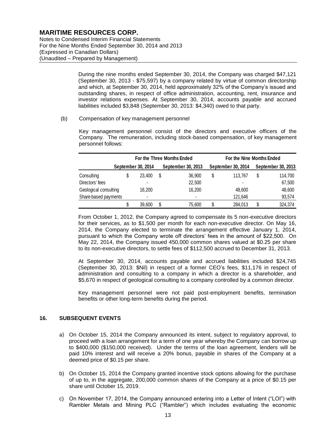Notes to Condensed Interim Financial Statements For the Nine Months Ended September 30, 2014 and 2013 (Expressed in Canadian Dollars) (Unaudited – Prepared by Management)

> During the nine months ended September 30, 2014, the Company was charged \$47,121 (September 30, 2013 - \$75,597) by a company related by virtue of common directorship and which, at September 30, 2014, held approximately 32% of the Company's issued and outstanding shares, in respect of office administration, accounting, rent, insurance and investor relations expenses. At September 30, 2014, accounts payable and accrued liabilities included \$3,848 (September 30, 2013: \$4,340) owed to that party.

(b) Compensation of key management personnel

Key management personnel consist of the directors and executive officers of the Company. The remuneration, including stock-based compensation, of key management personnel follows:

|                                                                                                                                                                                                                                                                                                                                                                                                                                                                                                                                                                                                                                                                                                                                                                                                                                                                                                                                                                       | For the Three Months Ended |                    |    |                          | For the Nine Months Ended |                    |
|-----------------------------------------------------------------------------------------------------------------------------------------------------------------------------------------------------------------------------------------------------------------------------------------------------------------------------------------------------------------------------------------------------------------------------------------------------------------------------------------------------------------------------------------------------------------------------------------------------------------------------------------------------------------------------------------------------------------------------------------------------------------------------------------------------------------------------------------------------------------------------------------------------------------------------------------------------------------------|----------------------------|--------------------|----|--------------------------|---------------------------|--------------------|
|                                                                                                                                                                                                                                                                                                                                                                                                                                                                                                                                                                                                                                                                                                                                                                                                                                                                                                                                                                       |                            | September 30, 2014 |    | September 30, 2013       | September 30, 2014        | September 30, 2013 |
| Consulting                                                                                                                                                                                                                                                                                                                                                                                                                                                                                                                                                                                                                                                                                                                                                                                                                                                                                                                                                            | \$                         | 23,400             | \$ | 36,900                   | \$<br>113,767             | \$<br>114,700      |
| Directors' fees                                                                                                                                                                                                                                                                                                                                                                                                                                                                                                                                                                                                                                                                                                                                                                                                                                                                                                                                                       |                            |                    |    | 22,500                   |                           | 67,500             |
| Geological consulting                                                                                                                                                                                                                                                                                                                                                                                                                                                                                                                                                                                                                                                                                                                                                                                                                                                                                                                                                 |                            | 16,200             |    | 16,200                   | 48,600                    | 48,600             |
| Share-based payments                                                                                                                                                                                                                                                                                                                                                                                                                                                                                                                                                                                                                                                                                                                                                                                                                                                                                                                                                  |                            |                    |    | $\overline{\phantom{a}}$ | 121,646                   | 93,574             |
|                                                                                                                                                                                                                                                                                                                                                                                                                                                                                                                                                                                                                                                                                                                                                                                                                                                                                                                                                                       | \$                         | 39,600             | \$ | 75,600                   | \$<br>284,013             | \$<br>324,374      |
| for their services, as to \$1,500 per month for each non-executive director. On May 16,<br>2014, the Company elected to terminate the arrangement effective January 1, 2014,<br>pursuant to which the Company wrote off directors' fees in the amount of \$22,500. On<br>May 22, 2014, the Company issued 450,000 common shares valued at \$0.25 per share<br>to its non-executive directors, to settle fees of \$112,500 accrued to December 31, 2013.<br>At September 30, 2014, accounts payable and accrued liabilities included \$24,745<br>(September 30, 2013: \$Nil) in respect of a former CEO's fees, \$11,176 in respect of<br>administration and consulting to a company in which a director is a shareholder, and<br>\$5,670 in respect of geological consulting to a company controlled by a common director.<br>Key management personnel were not paid post-employment benefits, termination<br>benefits or other long-term benefits during the period. |                            |                    |    |                          |                           |                    |
| <b>SEQUENT EVENTS</b>                                                                                                                                                                                                                                                                                                                                                                                                                                                                                                                                                                                                                                                                                                                                                                                                                                                                                                                                                 |                            |                    |    |                          |                           |                    |
| On October 15, 2014 the Company announced its intent, subject to regulatory approval, to<br>proceed with a loan arrangement for a term of one year whereby the Company can borrow up<br>to \$400,000 (\$150,000 received). Under the terms of the loan agreement, lenders will be<br>paid 10% interest and will receive a 20% bonus, payable in shares of the Company at a<br>deemed price of \$0.15 per share.                                                                                                                                                                                                                                                                                                                                                                                                                                                                                                                                                       |                            |                    |    |                          |                           |                    |
| On October 15, 2014 the Company granted incentive stock options allowing for the purchase<br>of up to, in the aggregate, 200,000 common shares of the Company at a price of \$0.15 per<br>share until October 15, 2019.                                                                                                                                                                                                                                                                                                                                                                                                                                                                                                                                                                                                                                                                                                                                               |                            |                    |    |                          |                           |                    |
| On November 17, 2014, the Company announced entering into a Letter of Intent ("LOI") with<br>Rambler Metals and Mining PLC ("Rambler") which includes evaluating the economic                                                                                                                                                                                                                                                                                                                                                                                                                                                                                                                                                                                                                                                                                                                                                                                         |                            |                    |    |                          |                           |                    |

## **16. SUBSEQUENT EVENTS**

- a) On October 15, 2014 the Company announced its intent, subject to regulatory approval, to proceed with a loan arrangement for a term of one year whereby the Company can borrow up to \$400,000 (\$150,000 received). Under the terms of the loan agreement, lenders will be paid 10% interest and will receive a 20% bonus, payable in shares of the Company at a deemed price of \$0.15 per share.
- b) On October 15, 2014 the Company granted incentive stock options allowing for the purchase of up to, in the aggregate, 200,000 common shares of the Company at a price of \$0.15 per share until October 15, 2019.
- c) On November 17, 2014, the Company announced entering into a Letter of Intent ("LOI") with